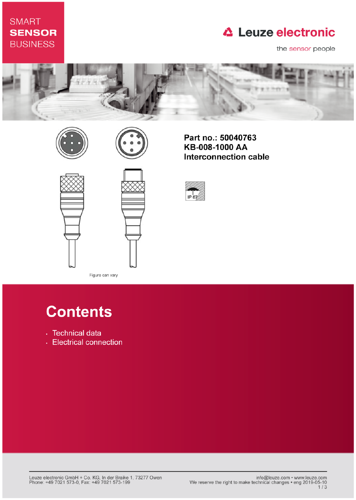### **SMART SENSOR BUSINESS**

## **△ Leuze electronic**

the sensor people











Part no.: 50040763 KB-008-1000 AA **Interconnection cable** 



# **Contents**

Figure can vary

- · Technical data
- Electrical connection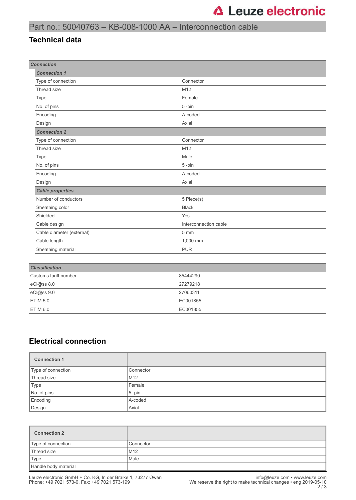#### Part no.: 50040763 – KB-008-1000 AA – Interconnection cable

#### **Technical data**

| <b>Connection</b>         |                       |  |
|---------------------------|-----------------------|--|
| <b>Connection 1</b>       |                       |  |
| Type of connection        | Connector             |  |
| Thread size               | M12                   |  |
| Type                      | Female                |  |
| No. of pins               | 5-pin                 |  |
| Encoding                  | A-coded               |  |
| Design                    | Axial                 |  |
| <b>Connection 2</b>       |                       |  |
| Type of connection        | Connector             |  |
| Thread size               | M12                   |  |
| Type                      | Male                  |  |
| No. of pins               | 5-pin                 |  |
| Encoding                  | A-coded               |  |
| Design                    | Axial                 |  |
| <b>Cable properties</b>   |                       |  |
| Number of conductors      | 5 Piece(s)            |  |
| Sheathing color           | <b>Black</b>          |  |
| Shielded                  | Yes                   |  |
| Cable design              | Interconnection cable |  |
| Cable diameter (external) | 5 mm                  |  |
| Cable length              | 1,000 mm              |  |
| Sheathing material        | <b>PUR</b>            |  |
|                           |                       |  |
| <b>Classification</b>     |                       |  |
| Customs tariff number     | 85444290              |  |
| eCl@ss 8.0                | 27279218              |  |
| eCl@ss 9.0                | 27060311              |  |

#### **Electrical connection**

ETIM 5.0 EC001855 ETIM 6.0 EC001855

| <b>Connection 1</b> |           |
|---------------------|-----------|
| Type of connection  | Connector |
| Thread size         | M12       |
| Type                | Female    |
| No. of pins         | $5 - pin$ |
| Encoding            | A-coded   |
| Design              | Axial     |

| <b>Connection 2</b>  |           |
|----------------------|-----------|
| Type of connection   | Connector |
| Thread size          | M12       |
| Type                 | Male      |
| Handle body material |           |